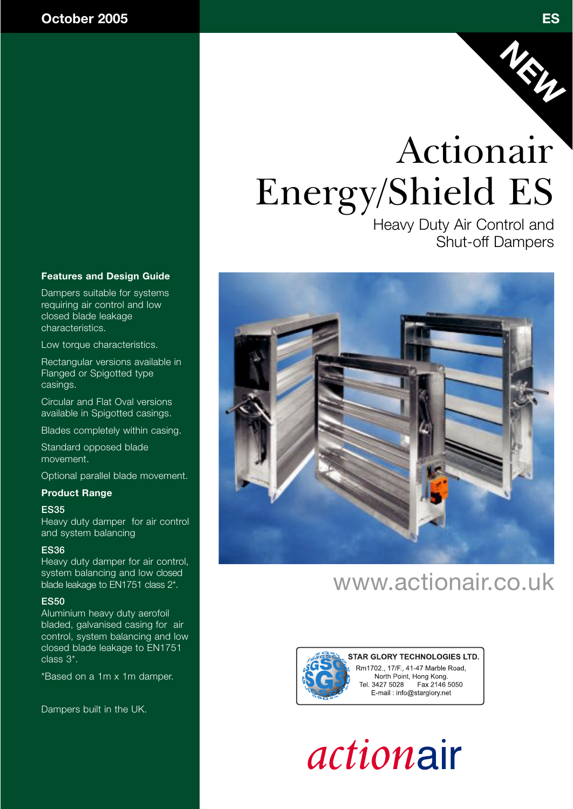

Heavy Duty Air Control and Shut-off Dampers

### **Features and Design Guide**

Dampers suitable for systems requiring air control and low closed blade leakage characteristics.

Low torque characteristics.

Rectangular versions available in Flanged or Spigotted type casings.

Circular and Flat Oval versions available in Spigotted casings.

Blades completely within casing.

Standard opposed blade movement.

Optional parallel blade movement.

### **Product Range**

### **ES35**

Heavy duty damper for air control and system balancing

### **ES36**

Heavy duty damper for air control, system balancing and low closed blade leakage to EN1751 class 2\*.

### **ES50**

Aluminium heavy duty aerofoil bladed, galvanised casing for air control, system balancing and low closed blade leakage to EN1751 class 3\*.

\*Based on a 1m x 1m damper.

Dampers built in the UK.



## www.actionair.co.uk



STAR GLORY TECHNOLOGIES LTD. Rm1702., 17/F., 41-47 Marble Road, North Point, Hong Kong. Fax 2146 5050 Tel. 3427 5028 E-mail: info@starglory.net



**NEW**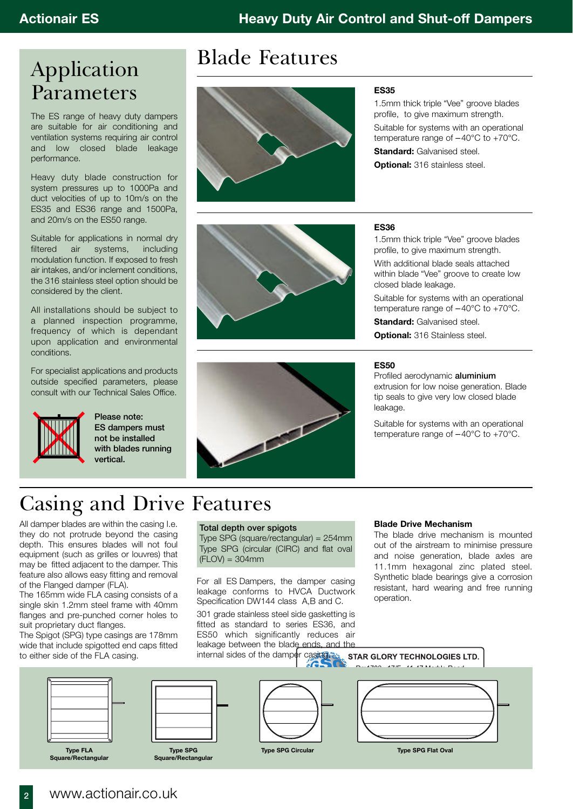### Application Parameters

The ES range of heavy duty dampers are suitable for air conditioning and ventilation systems requiring air control and low closed blade leakage performance.

Heavy duty blade construction for system pressures up to 1000Pa and duct velocities of up to 10m/s on the ES35 and ES36 range and 1500Pa, and 20m/s on the ES50 range.

Suitable for applications in normal dry filtered air systems, including modulation function. If exposed to fresh air intakes, and/or inclement conditions, the 316 stainless steel option should be considered by the client.

All installations should be subject to a planned inspection programme, frequency of which is dependant upon application and environmental conditions.

For specialist applications and products outside specified parameters, please consult with our Technical Sales Office.



**Please note: ES dampers must not be installed with blades running vertical.**

## Blade Features



### **ES35**

1.5mm thick triple "Vee" groove blades profile, to give maximum strength. Suitable for systems with an operational temperature range of –40°C to +70°C. **Standard: Galvanised steel.** 

**Optional:** 316 stainless steel.

### **ES36**

1.5mm thick triple "Vee" groove blades profile, to give maximum strength.

With additional blade seals attached within blade "Vee" groove to create low closed blade leakage.

Suitable for systems with an operational temperature range of –40°C to +70°C.

**Standard:** Galvanised steel.

**Optional:** 316 Stainless steel.

#### **ES50**

Profiled aerodynamic **aluminium** extrusion for low noise generation. Blade tip seals to give very low closed blade leakage.

Suitable for systems with an operational temperature range of  $-40^{\circ}$ C to  $+70^{\circ}$ C.

## Casing and Drive Features

All damper blades are within the casing I.e. they do not protrude beyond the casing depth. This ensures blades will not foul equipment (such as grilles or louvres) that may be fitted adjacent to the damper. This feature also allows easy fitting and removal of the Flanged damper (FLA).

The 165mm wide FLA casing consists of a single skin 1.2mm steel frame with 40mm flanges and pre-punched corner holes to suit proprietary duct flanges.

The Spigot (SPG) type casings are 178mm wide that include spigotted end caps fitted to either side of the FLA casing.

### **Total depth over spigots**

Type SPG (square/rectangular) = 254mm Type SPG (circular (CIRC) and flat oval  $(FLOV) = 304mm$ 

**START** 

For all ES Dampers, the damper casing leakage conforms to HVCA Ductwork Specification DW144 class A,B and C.

301 grade stainless steel side gasketting is fitted as standard to series ES36, and ES50 which significantly reduces air leakage between the blade ends, and the

### **Blade Drive Mechanism**

The blade drive mechanism is mounted out of the airstream to minimise pressure and noise generation, blade axles are 11.1mm hexagonal zinc plated steel. Synthetic blade bearings give a corrosion resistant, hard wearing and free running operation.



**<sup>2</sup>** www.actionair.co.uk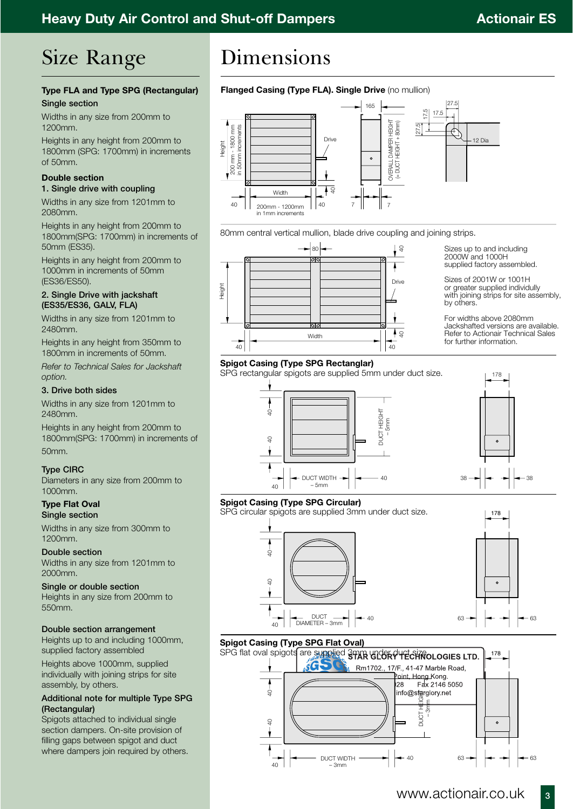## Size Range

### **Type FLA and Type SPG (Rectangular) Single section**

Widths in any size from 200mm to 1200mm.

Heights in any height from 200mm to 1800mm (SPG: 1700mm) in increments of 50mm.

### **Double section**

### **1. Single drive with coupling**

Widths in any size from 1201mm to 2080mm.

Heights in any height from 200mm to 1800mm(SPG: 1700mm) in increments of 50mm (ES35).

Heights in any height from 200mm to 1000mm in increments of 50mm (ES36/ES50).

### **2. Single Drive with jackshaft (ES35/ES36, GALV, FLA)**

Widths in any size from 1201mm to 2480mm.

Heights in any height from 350mm to 1800mm in increments of 50mm.

*Refer to Technical Sales for Jackshaft option.*

### **3. Drive both sides**

Widths in any size from 1201mm to 2480mm.

Heights in any height from 200mm to 1800mm(SPG: 1700mm) in increments of 50mm.

### **Type CIRC**

Diameters in any size from 200mm to 1000mm.

**Type Flat Oval Single section**

Widths in any size from 300mm to 1200mm.

**Double section** Widths in any size from 1201mm to 2000mm.

**Single or double section** Heights in any size from 200mm to 550mm.

### **Double section arrangement**

Heights up to and including 1000mm, supplied factory assembled

Heights above 1000mm, supplied individually with joining strips for site assembly, by others.

### **Additional note for multiple Type SPG (Rectangular)**

Spigots attached to individual single section dampers. On-site provision of filling gaps between spigot and duct where dampers join required by others.

## Dimensions

### **Flanged Casing (Type FLA). Single Drive** (no mullion)



80mm central vertical mullion, blade drive coupling and joining strips.



Sizes up to and including 2000W and 1000H supplied factory assembled.

Sizes of 2001W or 1001H or greater supplied individully with joining strips for site assembly, by others.

For widths above 2080mm Jackshafted versions are available. Refer to Actionair Technical Sales for further information.

178

 $\circ$ 

### **Spigot Casing (Type SPG Rectanglar)**

SPG rectangular spigots are supplied 5mm under duct size.



### **Spigot Casing (Type SPG Circular)**

SPG circular spigots are supplied 3mm under duct size.





178

### **Spigot Casing (Type SPG Flat Oval)**

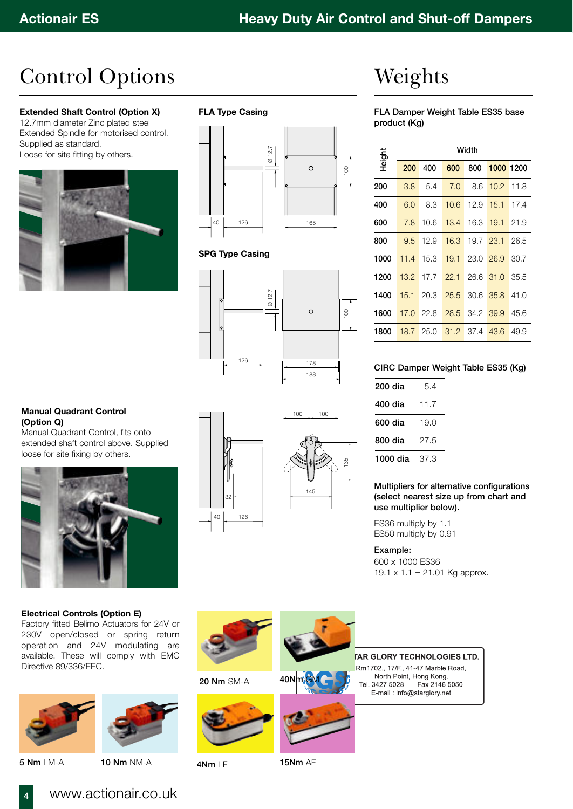## Control Options

### **Extended Shaft Control (Option X)**

12.7mm diameter Zinc plated steel Extended Spindle for motorised control. Supplied as standard. Loose for site fitting by others.



### **FLA Type Casing**



### **SPG Type Casing**



# Weights

**FLA Damper Weight Table ES35 base product (Kg)**

| Height | Width |                   |                               |  |                    |      |  |  |  |  |
|--------|-------|-------------------|-------------------------------|--|--------------------|------|--|--|--|--|
|        | 200   | 400               | 600                           |  | 800 1000 1200      |      |  |  |  |  |
| 200    |       | $3.8\quad 5.4$    | $7.0$ 8.6 10.2 11.8           |  |                    |      |  |  |  |  |
| 400    | 6.0   |                   | 8.3 10.6 12.9 15.1 17.4       |  |                    |      |  |  |  |  |
| 600    | 7.8   | 10.6              | 13.4 16.3 19.1 21.9           |  |                    |      |  |  |  |  |
| 800    |       |                   | 9.5 12.9 16.3 19.7 23.1 26.5  |  |                    |      |  |  |  |  |
| 1000   |       |                   | 11.4 15.3 19.1 23.0 26.9      |  |                    | 30.7 |  |  |  |  |
| 1200   |       |                   | 13.2 17.7 22.1                |  | 26.6 31.0          | 35.5 |  |  |  |  |
| 1400   |       | $15.1 \quad 20.3$ | 25.5                          |  | $30.6$ $35.8$ 41.0 |      |  |  |  |  |
| 1600   |       |                   | 17.0 22.8 28.5 34.2 39.9 45.6 |  |                    |      |  |  |  |  |
| 1800   |       |                   | 18.7 25.0 31.2 37.4 43.6      |  |                    | 49.9 |  |  |  |  |

### **CIRC Damper Weight Table ES35 (Kg)**

| 200 dia              | 5.4  |
|----------------------|------|
| 400 dia              | 11.7 |
| 600 dia              | 19.0 |
| 800 dia              | 27.5 |
| <b>1000 dia</b> 37.3 |      |
|                      |      |

### **Multipliers for alternative configurations (select nearest size up from chart and use multiplier below).**

ES36 multiply by 1.1 ES50 multiply by 0.91

### **Example:**

600 x 1000 ES36 19.1  $\times$  1.1 = 21.01 Kg approx.

## **(Option Q)**

Manual Quadrant Control, fits onto extended shaft control above. Supplied loose for site fixing by others.





### **Electrical Controls (Option E)**

Factory fitted Belimo Actuators for 24V or 230V open/closed or spring return operation and 24V modulating are available. These will comply with EMC Directive 89/336/EEC.



**84**

**5 Nm** LM-A **10 Nm** NM-A



### **20 Nm** SM-A



#### **TAR GLORY TECHNOLOGIES LTD.** Rm1702., 17/F., 41-47 Marble Road, North Point, Hong Kong. Fax 2146 5050 Tel. 3427 5028 E-mail: info@starglory.net



**4Nm** LF **15Nm** AF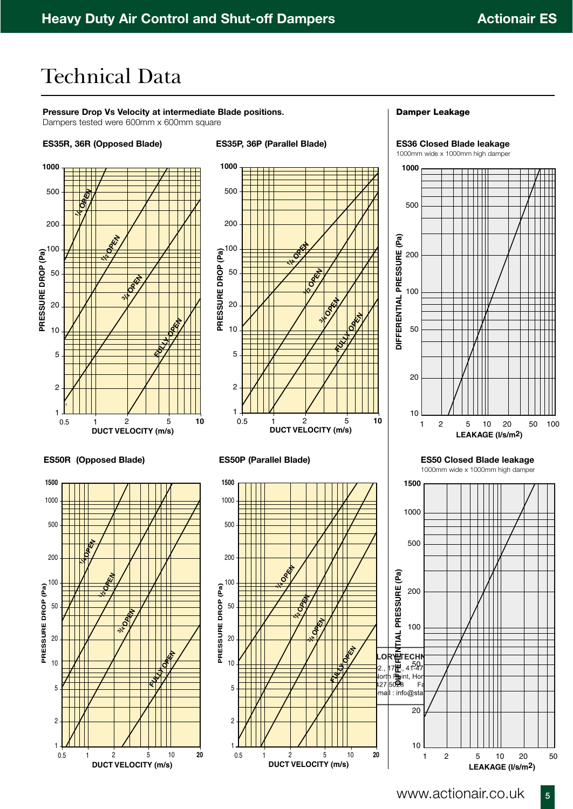**11**<sup>00</sup>

## Technical Data

**Pressure Drop Vs Velocity at intermediate Blade positions.**  Dampers tested were 600mm x 600mm square

### **ES35R, 36R (Opposed Blade) ES35P, 36P (Parallel Blade)**



 2 5 10 **20 DUCT VELOCITY (m/s)**

**/4 OPEN**

**/2 OPEN**

0.5

### **Damper Leakage**

**ES36 Closed Blade leakage** 1000mm wide x 1000mm high damper

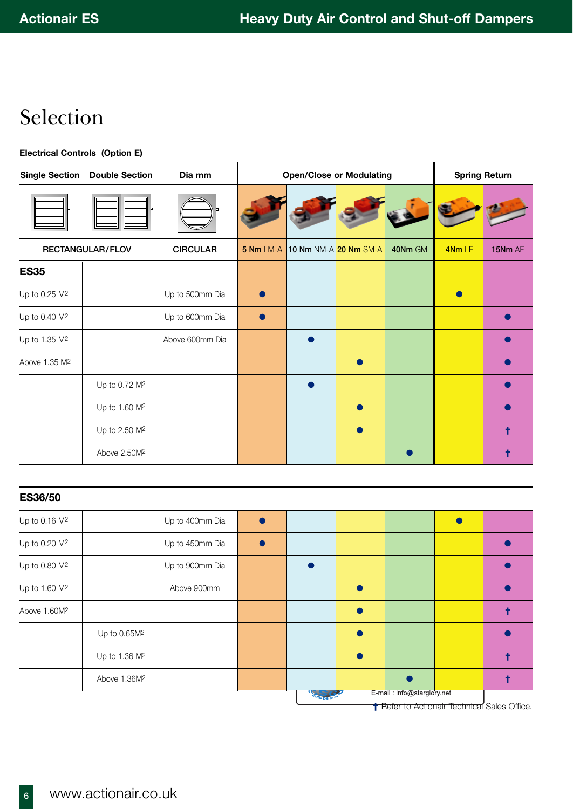## Selection

### **Electrical Controls (Option E)**

| <b>Single Section</b>     | <b>Double Section</b>     | Dia mm          | <b>Open/Close or Modulating</b> |                       |  |         | <b>Spring Return</b> |         |
|---------------------------|---------------------------|-----------------|---------------------------------|-----------------------|--|---------|----------------------|---------|
|                           |                           |                 |                                 |                       |  |         |                      |         |
| RECTANGULAR/FLOV          |                           | <b>CIRCULAR</b> | 5 Nm LM-A                       | 10 Nm NM-A 20 Nm SM-A |  | 40Nm GM | 4NmLF                | 15Nm AF |
| <b>ES35</b>               |                           |                 |                                 |                       |  |         |                      |         |
| Up to 0.25 M <sup>2</sup> |                           | Up to 500mm Dia |                                 |                       |  |         |                      |         |
| Up to 0.40 M <sup>2</sup> |                           | Up to 600mm Dia |                                 |                       |  |         |                      |         |
| Up to 1.35 M <sup>2</sup> |                           | Above 600mm Dia |                                 |                       |  |         |                      |         |
| Above 1.35 M <sup>2</sup> |                           |                 |                                 |                       |  |         |                      |         |
|                           | Up to 0.72 M <sup>2</sup> |                 |                                 |                       |  |         |                      |         |
|                           | Up to 1.60 M <sup>2</sup> |                 |                                 |                       |  |         |                      |         |
|                           | Up to 2.50 M <sup>2</sup> |                 |                                 |                       |  |         |                      | t       |
|                           | Above 2.50M <sup>2</sup>  |                 |                                 |                       |  |         |                      | t       |

| <b>ES36/50</b>            |                           |                 |  |                            |  |
|---------------------------|---------------------------|-----------------|--|----------------------------|--|
| Up to 0.16 M <sup>2</sup> |                           | Up to 400mm Dia |  |                            |  |
| Up to 0.20 M <sup>2</sup> |                           | Up to 450mm Dia |  |                            |  |
| Up to 0.80 M <sup>2</sup> |                           | Up to 900mm Dia |  |                            |  |
| Up to 1.60 M <sup>2</sup> |                           | Above 900mm     |  |                            |  |
| Above 1.60M <sup>2</sup>  |                           |                 |  |                            |  |
|                           | Up to 0.65M <sup>2</sup>  |                 |  |                            |  |
|                           | Up to 1.36 M <sup>2</sup> |                 |  |                            |  |
|                           | Above 1.36M <sup>2</sup>  |                 |  |                            |  |
|                           |                           |                 |  | E-mail: info@starglory.net |  |

**†** Refer to Actionair Technical Sales Office.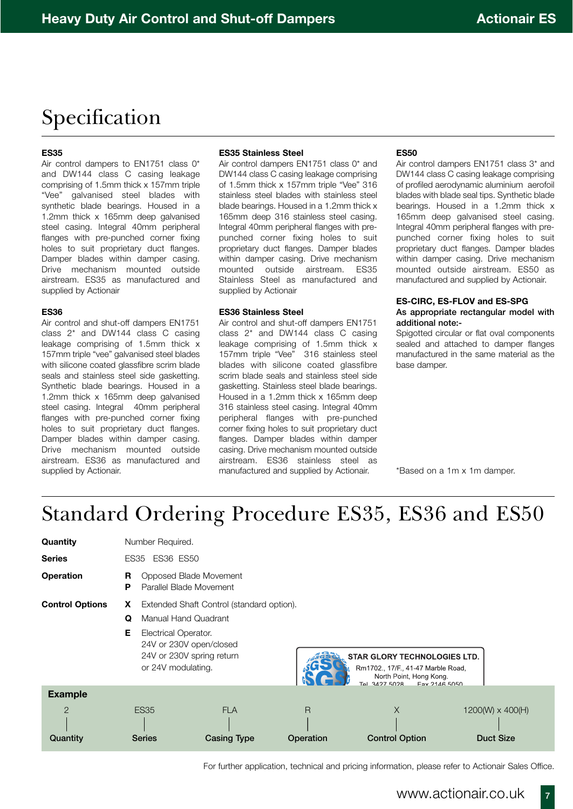## Specification

### **ES35**

Air control dampers to EN1751 class 0\* and DW144 class C casing leakage comprising of 1.5mm thick x 157mm triple "Vee" galvanised steel blades with synthetic blade bearings. Housed in a 1.2mm thick x 165mm deep galvanised steel casing. Integral 40mm peripheral flanges with pre-punched corner fixing holes to suit proprietary duct flanges. Damper blades within damper casing. Drive mechanism mounted outside airstream. ES35 as manufactured and supplied by Actionair

### **ES36**

Air control and shut-off dampers EN1751 class 2\* and DW144 class C casing leakage comprising of 1.5mm thick x 157mm triple "vee" galvanised steel blades with silicone coated glassfibre scrim blade seals and stainless steel side gasketting. Synthetic blade bearings. Housed in a 1.2mm thick x 165mm deep galvanised steel casing. Integral 40mm peripheral flanges with pre-punched corner fixing holes to suit proprietary duct flanges. Damper blades within damper casing. Drive mechanism mounted outside airstream. ES36 as manufactured and supplied by Actionair.

#### **ES35 Stainless Steel**

Air control dampers EN1751 class 0\* and DW144 class C casing leakage comprising of 1.5mm thick x 157mm triple "Vee" 316 stainless steel blades with stainless steel blade bearings. Housed in a 1.2mm thick x 165mm deep 316 stainless steel casing. Integral 40mm peripheral flanges with prepunched corner fixing holes to suit proprietary duct flanges. Damper blades within damper casing. Drive mechanism mounted outside airstream. ES35 Stainless Steel as manufactured and supplied by Actionair

### **ES36 Stainless Steel**

Air control and shut-off dampers EN1751 class 2\* and DW144 class C casing leakage comprising of 1.5mm thick x 157mm triple "Vee" 316 stainless steel blades with silicone coated glassfibre scrim blade seals and stainless steel side gasketting. Stainless steel blade bearings. Housed in a 1.2mm thick x 165mm deep 316 stainless steel casing. Integral 40mm peripheral flanges with pre-punched corner fixing holes to suit proprietary duct flanges. Damper blades within damper casing. Drive mechanism mounted outside airstream. ES36 stainless steel as manufactured and supplied by Actionair.

#### **ES50**

Air control dampers EN1751 class 3\* and DW144 class C casing leakage comprising of profiled aerodynamic aluminium aerofoil blades with blade seal tips. Synthetic blade bearings. Housed in a 1.2mm thick x 165mm deep galvanised steel casing. Integral 40mm peripheral flanges with prepunched corner fixing holes to suit proprietary duct flanges. Damper blades within damper casing. Drive mechanism mounted outside airstream. ES50 as manufactured and supplied by Actionair.

### **ES-CIRC, ES-FLOV and ES-SPG As appropriate rectangular model with additional note:-**

Spigotted circular or flat oval components sealed and attached to damper flanges manufactured in the same material as the base damper.

\*Based on a 1m x 1m damper.

## Standard Ordering Procedure ES35, ES36 and ES50

| Quantity                                     | Number Required.                                                                                                                                                                               |                                  |                |                                                                                                                                        |                                             |  |  |  |
|----------------------------------------------|------------------------------------------------------------------------------------------------------------------------------------------------------------------------------------------------|----------------------------------|----------------|----------------------------------------------------------------------------------------------------------------------------------------|---------------------------------------------|--|--|--|
| <b>Series</b>                                | <b>ES36 ES50</b><br>ES35                                                                                                                                                                       |                                  |                |                                                                                                                                        |                                             |  |  |  |
| <b>Operation</b>                             | Opposed Blade Movement<br>R<br>Parallel Blade Movement<br>Р                                                                                                                                    |                                  |                |                                                                                                                                        |                                             |  |  |  |
| <b>Control Options</b>                       | Extended Shaft Control (standard option).<br>X.<br><b>Manual Hand Quadrant</b><br>Q<br>Е<br>Electrical Operator.<br>24V or 230V open/closed<br>24V or 230V spring return<br>or 24V modulating. |                                  |                | <b>STAR GLORY TECHNOLOGIES LTD.</b><br>Rm1702., 17/F., 41-47 Marble Road,<br>North Point, Hong Kong.<br>Tel 3427 5028<br>Eav 2146 5050 |                                             |  |  |  |
| <b>Example</b><br>$\overline{2}$<br>Quantity | <b>ES35</b><br><b>Series</b>                                                                                                                                                                   | <b>FLA</b><br><b>Casing Type</b> | R<br>Operation | X<br><b>Control Option</b>                                                                                                             | $1200(W) \times 400(H)$<br><b>Duct Size</b> |  |  |  |

For further application, technical and pricing information, please refer to Actionair Sales Office.